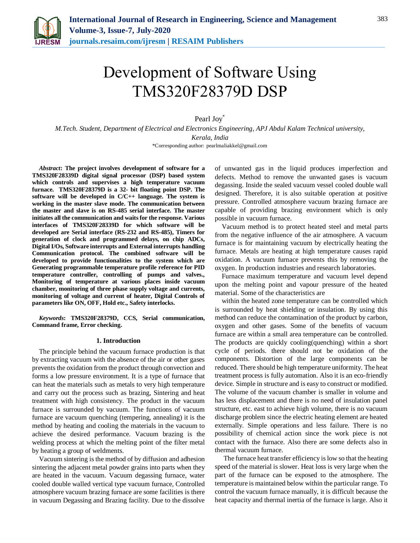

# Development of Software Using TMS320F28379D DSP

Pearl Joy<sup>\*</sup>

*M.Tech. Student, Department of Electrical and Electronics Engineering, APJ Abdul Kalam Technical university, Kerala, India* \*Corresponding author: pearlmaliakkel@gmail.com

*Abstract***: The project involves development of software for a TMS320F28339D digital signal processor (DSP) based system which controls and supervises a high temperature vacuum furnace. TMS320F28379D is a 32- bit floating point DSP. The software will be developed in C/C++ language. The system is working in the master slave mode. The communication between the master and slave is on RS-485 serial interface. The master initiates all the communication and waits for the response. Various interfaces of TMS320F28339D for which software will be developed are Serial interface (RS-232 and RS-485), Timers for generation of clock and programmed delays, on chip ADCs, Digital I/Os, Software interrupts and External interrupts handling Communication protocol. The combined software will be developed to provide functionalities to the system which are Generating programmable temperature profile reference for PID temperature controller, controlling of pumps and valves., Monitoring of temperature at various places inside vacuum chamber, monitoring of three phase supply voltage and currents, monitoring of voltage and current of heater, Digital Controls of parameters like ON, OFF, Hold etc., Safety interlocks.**

*Keywords***: TMS320F28379D, CCS, Serial communication, Command frame, Error checking.**

## **1. Introduction**

The principle behind the vacuum furnace production is that by extracting vacuum with the absence of the air or other gases prevents the oxidation from the product through convection and forms a low pressure environment. It is a type of furnace that can heat the materials such as metals to very high temperature and carry out the process such as brazing, Sintering and heat treatment with high consistency. The product in the vacuum furnace is surrounded by vacuum. The functions of vacuum furnace are vacuum quenching (tempering, annealing) it is the method by heating and cooling the materials in the vacuum to achieve the desired performance. Vacuum brazing is the welding process at which the melting point of the filter metal by heating a group of weldments.

Vacuum sintering is the method of by diffusion and adhesion sintering the adjacent metal powder grains into parts when they are heated in the vacuum. Vacuum degassing furnace, water cooled double walled vertical type vacuum furnace, Controlled atmosphere vacuum brazing furnace are some facilities is there in vacuum Degassing and Brazing facility. Due to the dissolve

of unwanted gas in the liquid produces imperfection and defects. Method to remove the unwanted gases is vacuum degassing. Inside the sealed vacuum vessel cooled double wall designed. Therefore, it is also suitable operation at positive pressure. Controlled atmosphere vacuum brazing furnace are capable of providing brazing environment which is only possible in vacuum furnace.

Vacuum method is to protect heated steel and metal parts from the negative influence of the air atmosphere. A vacuum furnace is for maintaining vacuum by electrically heating the furnace. Metals are heating at high temperature causes rapid oxidation. A vacuum furnace prevents this by removing the oxygen. In production industries and research laboratories.

Furnace maximum temperature and vacuum level depend upon the melting point and vapour pressure of the heated material. Some of the characteristics are

within the heated zone temperature can be controlled which is surrounded by heat shielding or insulation. By using this method can reduce the contamination of the product by carbon, oxygen and other gases. Some of the benefits of vacuum furnace are within a small area temperature can be controlled. The products are quickly cooling(quenching) within a short cycle of periods. there should not be oxidation of the components. Distortion of the large components can be reduced. There should be high temperature uniformity. The heat treatment process is fully automation. Also it is an eco-friendly device. Simple in structure and is easy to construct or modified. The volume of the vacuum chamber is smaller in volume and has less displacement and there is no need of insulation panel structure, etc. east to achieve high volume, there is no vacuum discharge problem since the electric heating element are heated externally. Simple operations and less failure. There is no possibility of chemical action since the work piece is not contact with the furnace. Also there are some defects also in thermal vacuum furnace.

The furnace heat transfer efficiency is low so that the heating speed of the material is slower. Heat loss is very large when the part of the furnace can be exposed to the atmosphere. The temperature is maintained below within the particular range. To control the vacuum furnace manually, it is difficult because the heat capacity and thermal inertia of the furnace is large. Also it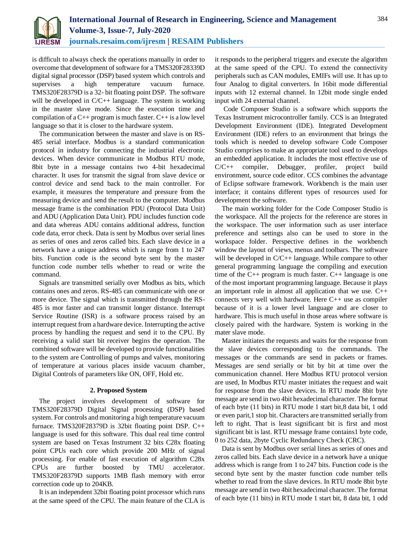

is difficult to always check the operations manually in order to overcome that development of software for a TMS320F28339D digital signal processor (DSP) based system which controls and supervises a high temperature vacuum furnace. TMS320F28379D is a 32- bit floating point DSP. The software will be developed in C/C++ language. The system is working in the master slave mode. Since the execution time and compilation of a  $C_{++}$  program is much faster.  $C_{++}$  is a low level language so that it is closer to the hardware system.

The communication between the master and slave is on RS-485 serial interface. Modbus is a standard communication protocol in industry for connecting the industrial electronic devices. When device communicate in Modbus RTU mode, 8bit byte in a message contains two 4-bit hexadecimal character. It uses for transmit the signal from slave device or control device and send back to the main controller. For example, it measures the temperature and pressure from the measuring device and send the result to the computer. Modbus message frame is the combination PDU (Protocol Data Unit) and ADU (Application Data Unit). PDU includes function code and data whereas ADU contains additional address, function code data, error check. Data is sent by Modbus over serial lines as series of ones and zeros called bits. Each slave device in a network have a unique address which is range from 1 to 247 bits. Function code is the second byte sent by the master function code number tells whether to read or write the command.

Signals are transmitted serially over Modbus as bits, which contains ones and zeros. RS-485 can communicate with one or more device. The signal which is transmitted through the RS-485 is mor faster and can transmit longer distance. Interrupt Service Routine (ISR) is a software process raised by an interrupt request from a hardware device. Interrupting the active process by handling the request and send it to the CPU. By receiving a valid start bit receiver begins the operation. The combined software will be developed to provide functionalities to the system are Controlling of pumps and valves, monitoring of temperature at various places inside vacuum chamber, Digital Controls of parameters like ON, OFF, Hold etc.

# **2. Proposed System**

The project involves development of software for TMS320F28379D Digital Signal processing (DSP) based system. For controls and monitoring a high temperature vacuum furnace. TMS320F28379D is 32bit floating point DSP. C++ language is used for this software. This dual real time control system are based on Texas Instrument 32 bits C28x floating point CPUs each core which provide 200 MHz of signal processing. For enable of fast execution of algorithm C28x CPUs are further boosted by TMU accelerator. TMS320F28379D supports 1MB flash memory with error correction code up to 204KB.

It is an independent 32bit floating point processor which runs at the same speed of the CPU. The main feature of the CLA is

it responds to the peripheral triggers and execute the algorithm at the same speed of the CPU. To extend the connectivity peripherals such as CAN modules, EMIFs will use. It has up to four Analog to digital converters. In 16bit mode differential inputs with 12 external channel. In 12bit mode single ended input with 24 external channel.

Code Composer Studio is a software which supports the Texas Instrument microcontroller family. CCS is an Integrated Development Environment (IDE). Integrated Development Environment (IDE) refers to an environment that brings the tools which is needed to develop software Code Composer Studio comprises to make an appropriate tool used to develops an embedded application. It includes the most effective use of C/C++ compiler, Debugger, profiler, project build environment, source code editor. CCS combines the advantage of Eclipse software framework. Workbench is the main user interface; it contains different types of resources used for development the software.

The main working folder for the Code Composer Studio is the workspace. All the projects for the reference are stores in the workspace. The user information such as user interface preference and settings also can be used to store in the workspace folder. Perspective defines in the workbench window the layout of views, menus and toolbars. The software will be developed in C/C++ language. While compare to other general programming language the compiling and execution time of the C++ program is much faster. C++ language is one of the most important programming language. Because it plays an important role in almost all application that we use. C++ connects very well with hardware. Here C++ use as compiler because of it is a lower level language and are closer to hardware. This is much useful in those areas where software is closely paired with the hardware. System is working in the mater slave mode.

Master initiates the requests and waits for the response from the slave devices corresponding to the commands. The messages or the commands are send in packets or frames. Messages are send serially or bit by bit at time over the communication channel. Here Modbus RTU protocol version are used, In Modbus RTU master initiates the request and wait for response from the slave devices. In RTU mode 8bit byte message are send in two 4bit hexadecimal character. The format of each byte (11 bits) in RTU mode 1 start bit,8 data bit, 1 odd or even parit,1 stop bit. Characters are transmitted serially from left to right. That is least significant bit is first and most significant bit is last. RTU message frame contains1 byte code, 0 to 252 data, 2byte Cyclic Redundancy Check (CRC).

Data is sent by Modbus over serial lines as series of ones and zeros called bits. Each slave device in a network have a unique address which is range from 1 to 247 bits. Function code is the second byte sent by the master function code number tells whether to read from the slave devices. In RTU mode 8bit byte message are send in two 4bit hexadecimal character. The format of each byte (11 bits) in RTU mode 1 start bit, 8 data bit, 1 odd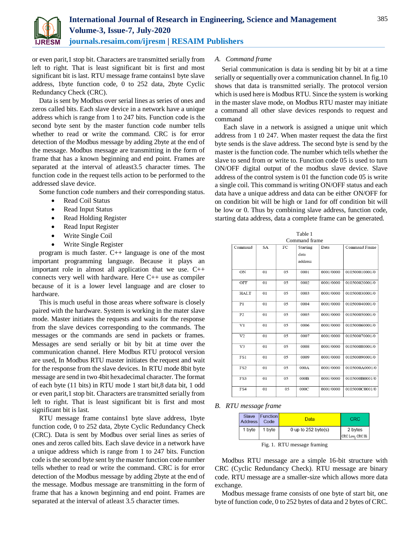

or even parit,1 stop bit. Characters are transmitted serially from left to right. That is least significant bit is first and most significant bit is last. RTU message frame contains1 byte slave address, 1byte function code, 0 to 252 data, 2byte Cyclic Redundancy Check (CRC).

Data is sent by Modbus over serial lines as series of ones and zeros called bits. Each slave device in a network have a unique address which is range from 1 to 247 bits. Function code is the second byte sent by the master function code number tells whether to read or write the command. CRC is for error detection of the Modbus message by adding 2byte at the end of the message. Modbus message are transmitting in the form of frame that has a known beginning and end point. Frames are separated at the interval of atleast3.5 character times. The function code in the request tells action to be performed to the addressed slave device.

Some function code numbers and their corresponding status.

- Read Coil Status
- Read Input Status
- Read Holding Register
- Read Input Register
- Write Single Coil
- Write Single Register

program is much faster. C++ language is one of the most important programming language. Because it plays an important role in almost all application that we use. C++ connects very well with hardware. Here C++ use as compiler because of it is a lower level language and are closer to hardware.

This is much useful in those areas where software is closely paired with the hardware. System is working in the mater slave mode. Master initiates the requests and waits for the response from the slave devices corresponding to the commands. The messages or the commands are send in packets or frames. Messages are send serially or bit by bit at time over the communication channel. Here Modbus RTU protocol version are used, In Modbus RTU master initiates the request and wait for the response from the slave devices. In RTU mode 8bit byte message are send in two 4bit hexadecimal character. The format of each byte (11 bits) in RTU mode 1 start bit,8 data bit, 1 odd or even parit,1 stop bit. Characters are transmitted serially from left to right. That is least significant bit is first and most significant bit is last.

RTU message frame contains1 byte slave address, 1byte function code, 0 to 252 data, 2byte Cyclic Redundancy Check (CRC). Data is sent by Modbus over serial lines as series of ones and zeros called bits. Each slave device in a network have a unique address which is range from 1 to 247 bits. Function code is the second byte sent by the master function code number tells whether to read or write the command. CRC is for error detection of the Modbus message by adding 2byte at the end of the message. Modbus message are transmitting in the form of frame that has a known beginning and end point. Frames are separated at the interval of atleast 3.5 character times.

### *A. Command frame*

Serial communication is data is sending bit by bit at a time serially or sequentially over a communication channel. In fig.10 shows that data is transmitted serially. The protocol version which is used here is Modbus RTU. Since the system is working in the master slave mode, on Modbus RTU master may initiate a command all other slave devices responds to request and command

Each slave in a network is assigned a unique unit which address from 1 t0 247. When master request the data the first byte sends is the slave address. The second byte is send by the master is the function code. The number which tells whether the slave to send from or write to. Function code 05 is used to turn ON/OFF digital output of the modbus slave device. Slave address of the control system is 01 the function code 05 is write a single coil. This command is writing ON/OFF status and each data have a unique address and data can be either ON/OFF for on condition bit will be high or 1and for off condition bit will be low or 0. Thus by combining slave address, function code, starting data address, data a complete frame can be generated.

 $T = 1.1 - 1$ 

| таріе т         |           |     |          |           |                |  |  |  |
|-----------------|-----------|-----|----------|-----------|----------------|--|--|--|
| Command frame   |           |     |          |           |                |  |  |  |
| Command         | <b>SA</b> | FC  | Starting | Data      | Command Frame  |  |  |  |
|                 |           |     | data     |           |                |  |  |  |
|                 |           |     | address  |           |                |  |  |  |
| ON              | 01        | 0.5 | 0001     | 0001/0000 | 010500010001/0 |  |  |  |
| OFF             | 01        | 05  | 0002     | 0001/0000 | 010500020001/0 |  |  |  |
| <b>HALT</b>     | 01        | 05  | 0003     | 0001/0000 | 010500030001/0 |  |  |  |
| P1              | 01        | 0.5 | 0004     | 0001/0000 | 010500040001/0 |  |  |  |
| P <sub>2</sub>  | 01        | 05  | 0005     | 0001/0000 | 010500050001/0 |  |  |  |
| V <sub>1</sub>  | 01        | 0.5 | 0006     | 0001/0000 | 010500060001/0 |  |  |  |
| V <sub>2</sub>  | 01        | 05  | 0007     | 0001/0000 | 010500070001/0 |  |  |  |
| V <sub>3</sub>  | 01        | 05  | 0008     | 0001/0000 | 010500080001/0 |  |  |  |
| FS1             | 01        | 05  | 0009     | 0001/0000 | 010500090001/0 |  |  |  |
| FS <sub>2</sub> | 01        | 05  | 000A     | 0001/0000 | 0105000A0001/0 |  |  |  |
| FS3             | 01        | 0.5 | 000B     | 0001/0000 | 0105000B0001/0 |  |  |  |
| FS4             | 01        | 05  | 000C     | 0001/0000 | 0105000C0001/0 |  |  |  |
|                 |           |     |          |           |                |  |  |  |

*B. RTU message frame* 

| Address I | Slave Function<br>Code | Data                     | <b>CRC</b>                    |
|-----------|------------------------|--------------------------|-------------------------------|
| 1 byte    | 1 byte                 | 0 up to $252$ byte $(s)$ | 2 bytes                       |
|           |                        |                          | $CRC$ Low <sub>i</sub> CRC Hi |

Fig. 1. RTU message framing

Modbus RTU message are a simple 16-bit structure with CRC (Cyclic Redundancy Check). RTU message are binary code. RTU message are a smaller-size which allows more data exchange.

Modbus message frame consists of one byte of start bit, one byte of function code, 0 to 252 bytes of data and 2 bytes of CRC.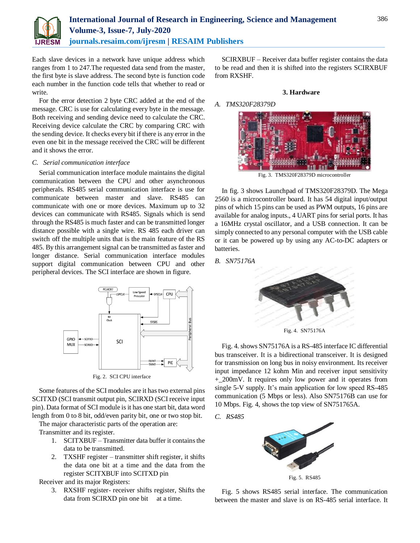

Each slave devices in a network have unique address which ranges from 1 to 247.The requested data send from the master, the first byte is slave address. The second byte is function code each number in the function code tells that whether to read or write.

For the error detection 2 byte CRC added at the end of the message. CRC is use for calculating every byte in the message. Both receiving and sending device need to calculate the CRC. Receiving device calculate the CRC by comparing CRC with the sending device. It checks every bit if there is any error in the even one bit in the message received the CRC will be different and it shows the error.

# *C. Serial communication interface*

Serial communication interface module maintains the digital communication between the CPU and other asynchronous peripherals. RS485 serial communication interface is use for communicate between master and slave. RS485 can communicate with one or more devices. Maximum up to 32 devices can communicate with RS485. Signals which is send through the RS485 is much faster and can be transmitted longer distance possible with a single wire. RS 485 each driver can switch off the multiple units that is the main feature of the RS 485. By this arrangement signal can be transmitted as faster and longer distance. Serial communication interface modules support digital communication between CPU and other peripheral devices. The SCI interface are shown in figure.



Fig. 2. SCI CPU interface

Some features of the SCI modules are it has two external pins SCITXD (SCI transmit output pin, SCIRXD (SCI receive input pin). Data format of SCI module is it has one start bit, data word length from 0 to 8 bit, odd/even parity bit, one or two stop bit.

The major characteristic parts of the operation are:

Transmitter and its register.

- 1. SCITXBUF Transmitter data buffer it contains the data to be transmitted.
- 2. TXSHF register transmitter shift register, it shifts the data one bit at a time and the data from the register SCITXBUF into SCITXD pin

Receiver and its major Registers:

3. RXSHF register- receiver shifts register, Shifts the data from SCIRXD pin one bit at a time.

SCIRXBUF – Receiver data buffer register contains the data to be read and then it is shifted into the registers SCIRXBUF from RXSHF.

# **3. Hardware**

# *A. TMS320F28379D*



Fig. 3. TMS320F28379D microcontroller

In fig. 3 shows Launchpad of TMS320F28379D. The Mega 2560 is a microcontroller board. It has 54 digital input/output pins of which 15 pins can be used as PWM outputs, 16 pins are available for analog inputs., 4 UART pins for serial ports. It has a 16MHz crystal oscillator, and a USB connection. It can be simply connected to any personal computer with the USB cable or it can be powered up by using any AC-to-DC adapters or batteries.

# *B. SN75176A*



Fig. 4. SN75176A

Fig. 4. shows SN75176A is a RS-485 interface IC differential bus transceiver. It is a bidirectional transceiver. It is designed for transmission on long bus in noisy environment. Its receiver input impedance 12 kohm Min and receiver input sensitivity +\_200mV. It requires only low power and it operates from single 5-V supply. It's main application for low speed RS-485 communication (5 Mbps or less). Also SN75176B can use for 10 Mbps. Fig. 4, shows the top view of SN751765A.

*C. RS485*



Fig. 5. RS485

Fig. 5 shows RS485 serial interface. The communication between the master and slave is on RS-485 serial interface. It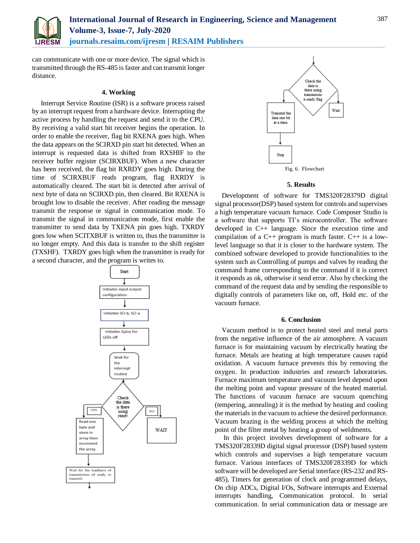

# **International Journal of Research in Engineering, Science and Management Volume-3, Issue-7, July-2020 journals.resaim.com/ijresm | RESAIM Publishers**

can communicate with one or more device. The signal which is transmitted through the RS-485 is faster and can transmit longer distance.

# **4. Working**

Interrupt Service Routine (ISR) is a software process raised by an interrupt request from a hardware device. Interrupting the active process by handling the request and send it to the CPU. By receiving a valid start bit receiver begins the operation. In order to enable the receiver, flag bit RXENA goes high. When the data appears on the SCIRXD pin start bit detected. When an interrupt is requested data is shifted from RXSHIF to the receiver buffer register (SCIRXBUF). When a new character has been received, the flag bit RXRDY goes high. During the time of SCIRXBUF reads program, flag RXRDY is automatically cleared. The start bit is detected after arrival of next byte of data on SCIRXD pin, then cleared. Bit RXENA is brought low to disable the receiver. After reading the message transmit the response or signal in communication mode. To transmit the signal in communication mode, first enable the transmitter to send data by TXENA pin goes high. TXRDY goes low when SCITXBUF is written to, thus the transmitter is no longer empty. And this data is transfer to the shift register (TXSHF). TXRDY goes high when the transmitter is ready for a second character, and the program is writes to.





# **5. Results**

Development of software for TMS320F28379D digital signal processor(DSP) based system for controls and supervises a high temperature vacuum furnace. Code Composer Studio is a software that supports TI's microcontroller. The software developed in C++ language. Since the execution time and compilation of a  $C_{++}$  program is much faster.  $C_{++}$  is a lowlevel language so that it is closer to the hardware system. The combined software developed to provide functionalities to the system such as Controlling of pumps and valves by reading the command frame corresponding to the command if it is correct it responds as ok, otherwise it send error. Also by checking the command of the request data and by sending the responsible to digitally controls of parameters like on, off, Hold etc. of the vacuum furnace.

# **6. Conclusion**

Vacuum method is to protect heated steel and metal parts from the negative influence of the air atmosphere. A vacuum furnace is for maintaining vacuum by electrically heating the furnace. Metals are heating at high temperature causes rapid oxidation. A vacuum furnace prevents this by removing the oxygen. In production industries and research laboratories. Furnace maximum temperature and vacuum level depend upon the melting point and vapour pressure of the heated material. The functions of vacuum furnace are vacuum quenching (tempering, annealing) it is the method by heating and cooling the materials in the vacuum to achieve the desired performance. Vacuum brazing is the welding process at which the melting point of the filter metal by heating a group of weldments.

In this project involves development of software for a TMS320F28339D digital signal processor (DSP) based system which controls and supervises a high temperature vacuum furnace. Various interfaces of TMS320F28339D for which software will be developed are Serial interface (RS-232 and RS-485), Timers for generation of clock and programmed delays, On chip ADCs, Digital I/Os, Software interrupts and External interrupts handling, Communication protocol. In serial communication. In serial communication data or message are